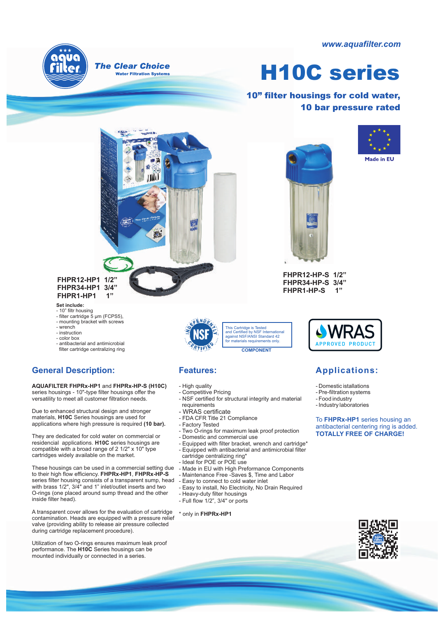*www.aquafilter.com*



# **H10C series**

**10" filter housings for cold water, 10 bar pressure rated**



**FHPR12-HP1 1/2" FHPR34-HP1 3/4" FHPR1-HP1 1"**

## **Set include:**

- 
- 10" filtr housing filter cartridge 5 µm (FCPS5), - mounting bracket with screws
- wrench
- instruction
- color box
- antibacterial and antimicrobial filter cartridge centralizing ring

# **General Description: Features:**

**AQUAFILTER FHPRx-HP1** and **FHPRx-HP-S (H10C)** series housings - 10"-type filter housings offer the versatility to meet all customer filtration needs.

Due to enhanced structural design and stronger materials, **H10C** Series housings are used for applications where high pressure is required **(10 bar).**

They are dedicated for cold water on commercial or residencial applications. **H10C** series housings are compatible with a broad range of 2 1/2" x 10" type cartridges widely available on the market.

These housings can be used in a commercial setting due to their high flow efficiency. **FHPRx-HP1**, **FHPRx-HP-S** series filter housing consists of a transparent sump, head with brass 1/2", 3/4" and 1" inlet/outlet inserts and two O-rings (one placed around sump thread and the other inside filter head).

A transparent cover allows for the evaluation of cartridge contamination. Heads are equipped with a pressure relief valve (providing ability to release air pressure collected during cartridge replacement procedure).

Utilization of two O-rings ensures maximum leak proof performance. The **H10C** Series housings can be mounted individually or connected in a series.



- High quality
- Competitive Pricing
- NSF certified for structural integrity and material requirements
- WRAS certificate
- FDA CFR Title 21 Compliance
- Factory Tested
- Two O-rings for maximum leak proof protection
- Domestic and commercial use
- Equipped with filter bracket, wrench and cartridge\*
- Equipped with antibacterial and antimicrobial filter cartridge centralizing ring\*
- Ideal for POE or POE use
- Made in EU with High Preformance Components Maintenance Free -Saves \$, Time and Labor
- Easy to connect to cold water inlet
- Easy to install, No Electricity, No Drain Required
- Heavy-duty filter housings
- Full flow 1/2", 3/4" or ports

### \* only in **FHPRx-HP1**





**FHPR12-HP-S 1/2" FHPR34-HP-S 3/4"** FHPR1-HP-S



# **Applications:**

- Domestic istallations
	- Pre-filtration systems
	- Food industry
	- Industry laboratories

To **FHPRx-HP1** series housing an antibacterial centering ring is added. **TOTALLY FREE OF CHARGE!**